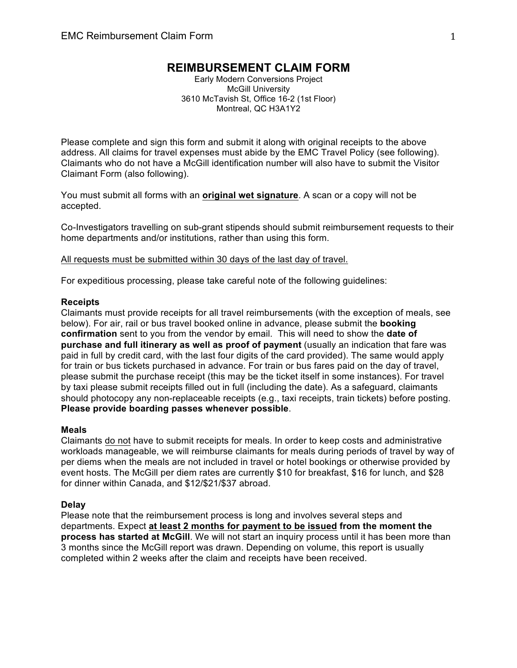# **REIMBURSEMENT CLAIM FORM**

Early Modern Conversions Project McGill University 3610 McTavish St, Office 16-2 (1st Floor) Montreal, QC H3A1Y2

Please complete and sign this form and submit it along with original receipts to the above address. All claims for travel expenses must abide by the EMC Travel Policy (see following). Claimants who do not have a McGill identification number will also have to submit the Visitor Claimant Form (also following).

You must submit all forms with an **original wet signature**. A scan or a copy will not be accepted.

Co-Investigators travelling on sub-grant stipends should submit reimbursement requests to their home departments and/or institutions, rather than using this form.

All requests must be submitted within 30 days of the last day of travel.

For expeditious processing, please take careful note of the following guidelines:

### **Receipts**

Claimants must provide receipts for all travel reimbursements (with the exception of meals, see below). For air, rail or bus travel booked online in advance, please submit the **booking confirmation** sent to you from the vendor by email. This will need to show the **date of purchase and full itinerary as well as proof of payment** (usually an indication that fare was paid in full by credit card, with the last four digits of the card provided). The same would apply for train or bus tickets purchased in advance. For train or bus fares paid on the day of travel, please submit the purchase receipt (this may be the ticket itself in some instances). For travel by taxi please submit receipts filled out in full (including the date). As a safeguard, claimants should photocopy any non-replaceable receipts (e.g., taxi receipts, train tickets) before posting. **Please provide boarding passes whenever possible**.

#### **Meals**

Claimants do not have to submit receipts for meals. In order to keep costs and administrative workloads manageable, we will reimburse claimants for meals during periods of travel by way of per diems when the meals are not included in travel or hotel bookings or otherwise provided by event hosts. The McGill per diem rates are currently \$10 for breakfast, \$16 for lunch, and \$28 for dinner within Canada, and \$12/\$21/\$37 abroad.

#### **Delay**

Please note that the reimbursement process is long and involves several steps and departments. Expect **at least 2 months for payment to be issued from the moment the process has started at McGill**. We will not start an inquiry process until it has been more than 3 months since the McGill report was drawn. Depending on volume, this report is usually completed within 2 weeks after the claim and receipts have been received.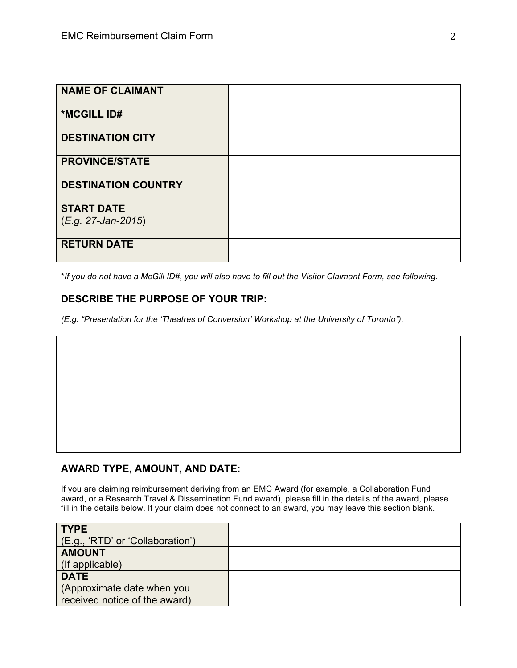| <b>NAME OF CLAIMANT</b>    |  |
|----------------------------|--|
| *MCGILL ID#                |  |
| <b>DESTINATION CITY</b>    |  |
| <b>PROVINCE/STATE</b>      |  |
| <b>DESTINATION COUNTRY</b> |  |
| <b>START DATE</b>          |  |
| (E.g. 27-Jan-2015)         |  |
| <b>RETURN DATE</b>         |  |

\**If you do not have a McGill ID#, you will also have to fill out the Visitor Claimant Form, see following.*

### **DESCRIBE THE PURPOSE OF YOUR TRIP:**

*(E.g. "Presentation for the 'Theatres of Conversion' Workshop at the University of Toronto").* 

# **AWARD TYPE, AMOUNT, AND DATE:**

If you are claiming reimbursement deriving from an EMC Award (for example, a Collaboration Fund award, or a Research Travel & Dissemination Fund award), please fill in the details of the award, please fill in the details below. If your claim does not connect to an award, you may leave this section blank.

| <b>TYPE</b>                      |  |
|----------------------------------|--|
| (E.g., 'RTD' or 'Collaboration') |  |
| <b>AMOUNT</b>                    |  |
| (If applicable)                  |  |
| <b>DATE</b>                      |  |
| (Approximate date when you       |  |
| received notice of the award)    |  |